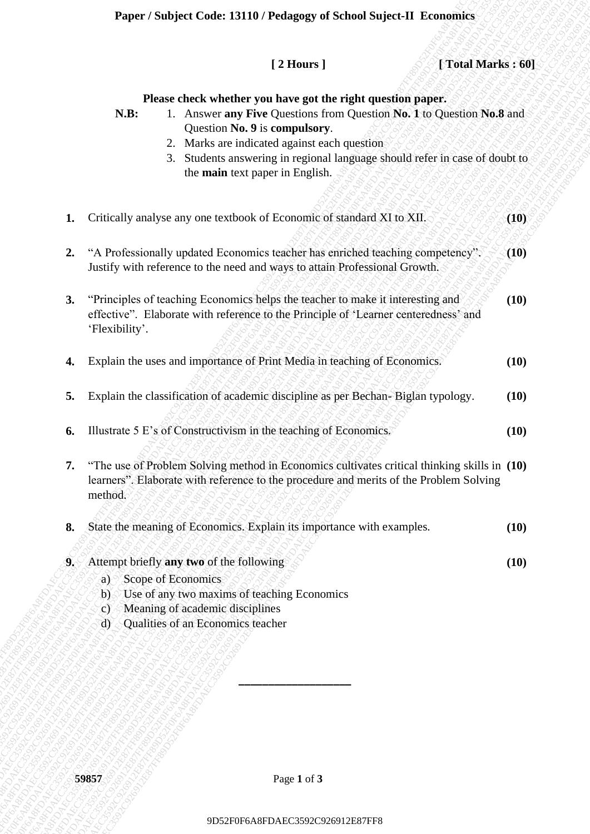# **Paper / Subject Code: 13110 / Pedagogy of School Suject-II Economics**

|    |                                                                                                                                                                                         |                                                                                            | Paper / Subject Code: 13110 / Pedagogy of School Suject-II Economics                                                                                                             |  |                                                                                                                                                                                       |      |
|----|-----------------------------------------------------------------------------------------------------------------------------------------------------------------------------------------|--------------------------------------------------------------------------------------------|----------------------------------------------------------------------------------------------------------------------------------------------------------------------------------|--|---------------------------------------------------------------------------------------------------------------------------------------------------------------------------------------|------|
|    |                                                                                                                                                                                         |                                                                                            | [2 Hours]                                                                                                                                                                        |  | [Total Marks: 60]                                                                                                                                                                     |      |
|    | N.B:                                                                                                                                                                                    |                                                                                            | Please check whether you have got the right question paper.<br>Question No. 9 is compulsory.<br>2. Marks are indicated against each questions<br>the main text paper in English. |  | 1. Answer any Five Questions from Question No. 1 to Question No.8 and<br>3. Students answering in regional language should refer in case of doubt to                                  |      |
| 1. |                                                                                                                                                                                         |                                                                                            | Critically analyse any one textbook of Economic of standard XI to XII.                                                                                                           |  |                                                                                                                                                                                       | (10) |
| 2. | "A Professionally updated Economics teacher has enriched teaching competency".<br>Justify with reference to the need and ways to attain Professional Growth.                            |                                                                                            |                                                                                                                                                                                  |  | (10)                                                                                                                                                                                  |      |
| 3. | "Principles of teaching Economics helps the teacher to make it interesting and<br>effective". Elaborate with reference to the Principle of 'Learner centeredness' and<br>'Flexibility'. |                                                                                            |                                                                                                                                                                                  |  | (10)                                                                                                                                                                                  |      |
| 4. | Explain the uses and importance of Print Media in teaching of Economics.                                                                                                                |                                                                                            |                                                                                                                                                                                  |  | (10)                                                                                                                                                                                  |      |
| 5. | Explain the classification of academic discipline as per Bechan-Biglan typology.                                                                                                        |                                                                                            |                                                                                                                                                                                  |  | (10)                                                                                                                                                                                  |      |
| 6. | Illustrate 5 E's of Constructivism in the teaching of Economics.                                                                                                                        |                                                                                            |                                                                                                                                                                                  |  | (10)                                                                                                                                                                                  |      |
| 7. | method.                                                                                                                                                                                 |                                                                                            |                                                                                                                                                                                  |  | "The use of Problem Solving method in Economics cultivates critical thinking skills in (10)<br>learners". Elaborate with reference to the procedure and merits of the Problem Solving |      |
| 8. |                                                                                                                                                                                         |                                                                                            | State the meaning of Economics. Explain its importance with examples.                                                                                                            |  |                                                                                                                                                                                       | (10) |
| 9. | Attempt briefly any two of the following<br>a<br>$\mathbf{b}$<br>$\mathbf{c}$<br>$\phi$                                                                                                 | Scope of Economics<br>Meaning of academic disciplines<br>Qualities of an Economics teacher | Use of any two maxims of teaching Economics                                                                                                                                      |  |                                                                                                                                                                                       | (10) |
|    | 59857                                                                                                                                                                                   |                                                                                            | Page 1 of 3                                                                                                                                                                      |  |                                                                                                                                                                                       |      |
|    |                                                                                                                                                                                         | 9D52F0F6A8FDAEC3592C926912E87FF8                                                           |                                                                                                                                                                                  |  |                                                                                                                                                                                       |      |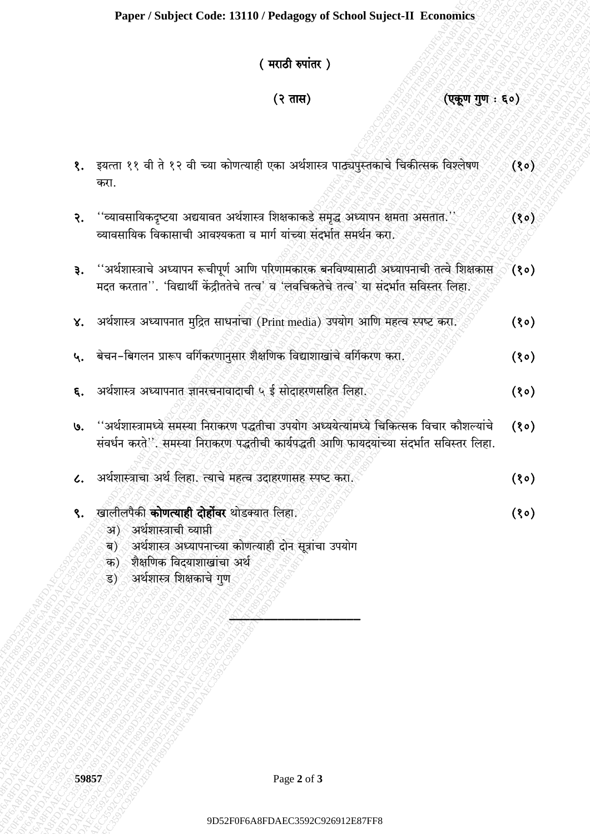## (मराठी रुपांतर)

### $(3 \pi H)$

(एकूण गुण : ६०)

 $(80)$ 

- १. इयत्ता ११ वी ते १२ वी च्या कोणत्याही एका अर्थशास्त्र पाठ्यपुस्तकाचे चिकीत्सक विश्लेषण  $(30)$ करा.
- ''व्यावसायिकदृष्टया अद्ययावत अर्थशास्त्र शिक्षकाकडे समृद्ध अध्यापन क्षमता असतात.''  $(80)$ २. व्यावसायिक विकासाची आवश्यकता व मार्ग यांच्या संदर्भात समर्थन करा.
- ''अर्थशास्त्राचे अध्यापन रूचीपूर्ण आणि परिणामकारक बनविण्यासाठी अध्यापनाची तत्वे शिक्षकास  $\left( 8^{\circ} \right)$  $\mathfrak{F}$ . मदत करतात''. 'विद्यार्थी केंद्रीततेचे तत्व' व 'लबचिकतेचे तत्व' या संदर्भात सविस्तर लिहा.
- अर्थशास्त्र अध्यापनात मुद्रित साधनांचा (Print media) उपयोग आणि महत्व स्पष्ट करा.  $(80)$  $\mathsf{X}.$
- बेचन-बिगलन प्रारूप वर्गिकरणानुसार शैक्षणिक विद्याशाखांचे वर्गिकरण करा. ५.  $(80)$
- अर्थशास्त्र अध्यापनात ज्ञानरचनावादाची ५ ई सोदाहरणसहित लिहा.  $(80)$ ६.
- ''अर्थशास्त्रामध्ये समस्या निराकरण पद्धतीचा उपयोग अध्ययेत्यांमध्ये चिकित्सक विचार कौशल्यांचे  $(80)$  $\mathbf{G}$ . संवर्धन करते.''. समस्या निराकरण पद्धतीची कार्यपद्धती आणि फायदयांच्या संदर्भात सविस्तर लिहा.
- अर्थशास्त्राचा अर्थ लिहा. त्याचे महत्व उदाहरणासह स्पष्ट करा.  $(30)$  $\mathcal{L}_{\star}$
- खालीलपैकी **कोणत्याही दोहोंवर** थोडक्यात लिहा. ९.
	- अ) अर्थशास्त्राची व्याप्ती
	- अर्थशास्त्र अध्यापनाच्या कोणत्याही दोन सूत्रांचा उपयोग ৰ)
	- क) शैक्षणिक विदयाशाखांचा अर्थ
	- अर्थशास्त्र शिक्षकाचे गुण .ड)